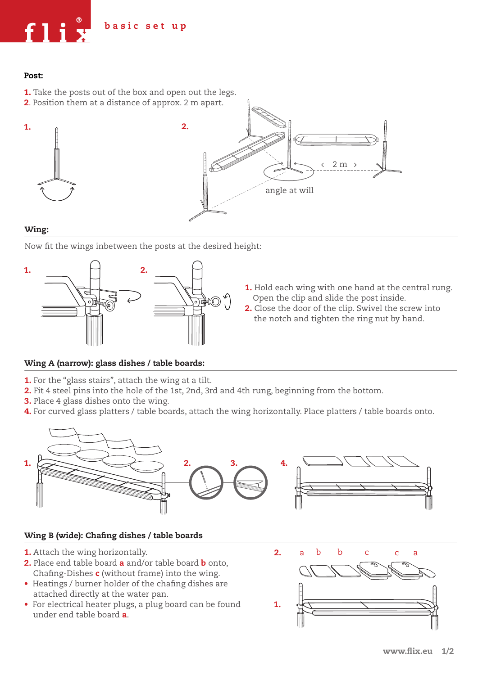

## Post:

- **1.** Take the posts out of the box and open out the legs.
- 2. Position them at a distance of approx. 2 m apart.





## Wing:

Now fit the wings inbetween the posts at the desired height:



- **1.** Hold each wing with one hand at the central rung. Open the clip and slide the post inside.
- 2. Close the door of the clip. Swivel the screw into the notch and tighten the ring nut by hand.

## Wing A (narrow): glass dishes / table boards:

- 1. For the "glass stairs", attach the wing at a tilt.
- 2. Fit 4 steel pins into the hole of the 1st, 2nd, 3rd and 4th rung, beginning from the bottom.
- 3. Place 4 glass dishes onto the wing.
- 4. For curved glass platters / table boards, attach the wing horizontally. Place platters / table boards onto.



## Wing B (wide): Chafing dishes / table boards

- 1. Attach the wing horizontally.
- 2. Place end table board a and/or table board **b** onto, Chafing-Dishes  $c$  (without frame) into the wing.
- Heatings / burner holder of the chafing dishes are attached directly at the water pan.
- For electrical heater plugs, a plug board can be found under end table board a.